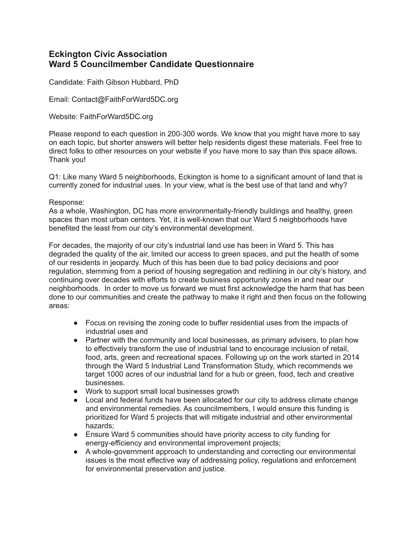# **Eckington Civic Association Ward 5 Councilmember Candidate Questionnaire**

Candidate: Faith Gibson Hubbard, PhD

Email: Contact@FaithForWard5DC.org

Website: FaithForWard5DC.org

Please respond to each question in 200-300 words. We know that you might have more to say on each topic, but shorter answers will better help residents digest these materials. Feel free to direct folks to other resources on your website if you have more to say than this space allows. Thank you!

Q1: Like many Ward 5 neighborhoods, Eckington is home to a significant amount of land that is currently zoned for industrial uses. In your view, what is the best use of that land and why?

#### Response:

As a whole, Washington, DC has more environmentally-friendly buildings and healthy, green spaces than most urban centers. Yet, it is well-known that our Ward 5 neighborhoods have benefited the least from our city's environmental development.

For decades, the majority of our city's industrial land use has been in Ward 5. This has degraded the quality of the air, limited our access to green spaces, and put the health of some of our residents in jeopardy. Much of this has been due to bad policy decisions and poor regulation, stemming from a period of housing segregation and redlining in our city's history, and continuing over decades with efforts to create business opportunity zones in and near our neighborhoods. In order to move us forward we must first acknowledge the harm that has been done to our communities and create the pathway to make it right and then focus on the following areas:

- Focus on revising the zoning code to buffer residential uses from the impacts of industrial uses and
- Partner with the community and local businesses, as primary advisers, to plan how to effectively transform the use of industrial land to encourage inclusion of retail, food, arts, green and recreational spaces. Following up on the work started in 2014 through the Ward 5 Industrial Land Transformation Study, which recommends we target 1000 acres of our industrial land for a hub or green, food, tech and creative businesses.
- Work to support small local businesses growth
- Local and federal funds have been allocated for our city to address climate change and environmental remedies. As councilmembers, I would ensure this funding is prioritized for Ward 5 projects that will mitigate industrial and other environmental hazards;
- Ensure Ward 5 communities should have priority access to city funding for energy-efficiency and environmental improvement projects;
- A whole-government approach to understanding and correcting our environmental issues is the most effective way of addressing policy, regulations and enforcement for environmental preservation and justice.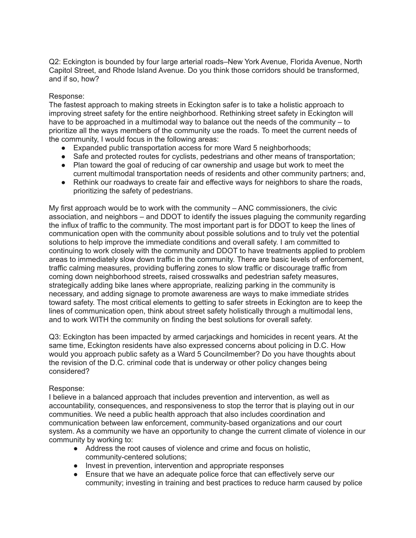Q2: Eckington is bounded by four large arterial roads–New York Avenue, Florida Avenue, North Capitol Street, and Rhode Island Avenue. Do you think those corridors should be transformed, and if so, how?

#### Response:

The fastest approach to making streets in Eckington safer is to take a holistic approach to improving street safety for the entire neighborhood. Rethinking street safety in Eckington will have to be approached in a multimodal way to balance out the needs of the community – to prioritize all the ways members of the community use the roads. To meet the current needs of the community, I would focus in the following areas:

- Expanded public transportation access for more Ward 5 neighborhoods;
- Safe and protected routes for cyclists, pedestrians and other means of transportation;
- Plan toward the goal of reducing of car ownership and usage but work to meet the current multimodal transportation needs of residents and other community partners; and,
- Rethink our roadways to create fair and effective ways for neighbors to share the roads, prioritizing the safety of pedestrians.

My first approach would be to work with the community – ANC commissioners, the civic association, and neighbors – and DDOT to identify the issues plaguing the community regarding the influx of traffic to the community. The most important part is for DDOT to keep the lines of communication open with the community about possible solutions and to truly vet the potential solutions to help improve the immediate conditions and overall safety. I am committed to continuing to work closely with the community and DDOT to have treatments applied to problem areas to immediately slow down traffic in the community. There are basic levels of enforcement, traffic calming measures, providing buffering zones to slow traffic or discourage traffic from coming down neighborhood streets, raised crosswalks and pedestrian safety measures, strategically adding bike lanes where appropriate, realizing parking in the community is necessary, and adding signage to promote awareness are ways to make immediate strides toward safety. The most critical elements to getting to safer streets in Eckington are to keep the lines of communication open, think about street safety holistically through a multimodal lens, and to work WITH the community on finding the best solutions for overall safety.

Q3: Eckington has been impacted by armed carjackings and homicides in recent years. At the same time, Eckington residents have also expressed concerns about policing in D.C. How would you approach public safety as a Ward 5 Councilmember? Do you have thoughts about the revision of the D.C. criminal code that is underway or other policy changes being considered?

## Response:

I believe in a balanced approach that includes prevention and intervention, as well as accountability, consequences, and responsiveness to stop the terror that is playing out in our communities. We need a public health approach that also includes coordination and communication between law enforcement, community-based organizations and our court system. As a community we have an opportunity to change the current climate of violence in our community by working to:

- Address the root causes of violence and crime and focus on holistic, community-centered solutions;
- Invest in prevention, intervention and appropriate responses
- Ensure that we have an adequate police force that can effectively serve our community; investing in training and best practices to reduce harm caused by police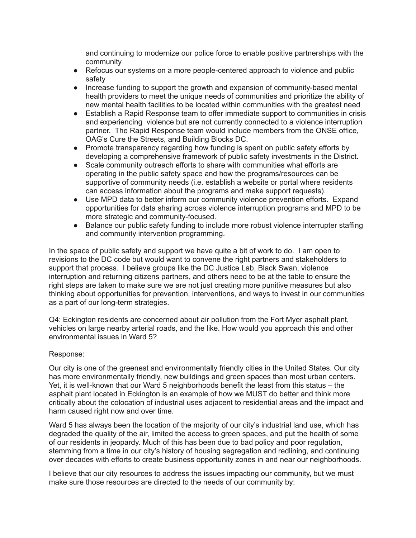and continuing to modernize our police force to enable positive partnerships with the community

- Refocus our systems on a more people-centered approach to violence and public safety
- Increase funding to support the growth and expansion of community-based mental health providers to meet the unique needs of communities and prioritize the ability of new mental health facilities to be located within communities with the greatest need
- Establish a Rapid Response team to offer immediate support to communities in crisis and experiencing violence but are not currently connected to a violence interruption partner. The Rapid Response team would include members from the ONSE office, OAG's Cure the Streets, and Building Blocks DC.
- Promote transparency regarding how funding is spent on public safety efforts by developing a comprehensive framework of public safety investments in the District.
- Scale community outreach efforts to share with communities what efforts are operating in the public safety space and how the programs/resources can be supportive of community needs (i.e. establish a website or portal where residents can access information about the programs and make support requests).
- Use MPD data to better inform our community violence prevention efforts. Expand opportunities for data sharing across violence interruption programs and MPD to be more strategic and community-focused.
- Balance our public safety funding to include more robust violence interrupter staffing and community intervention programming.

In the space of public safety and support we have quite a bit of work to do. I am open to revisions to the DC code but would want to convene the right partners and stakeholders to support that process. I believe groups like the DC Justice Lab, Black Swan, violence interruption and returning citizens partners, and others need to be at the table to ensure the right steps are taken to make sure we are not just creating more punitive measures but also thinking about opportunities for prevention, interventions, and ways to invest in our communities as a part of our long-term strategies.

Q4: Eckington residents are concerned about air pollution from the Fort Myer asphalt plant, vehicles on large nearby arterial roads, and the like. How would you approach this and other environmental issues in Ward 5?

## Response:

Our city is one of the greenest and environmentally friendly cities in the United States. Our city has more environmentally friendly, new buildings and green spaces than most urban centers. Yet, it is well-known that our Ward 5 neighborhoods benefit the least from this status – the asphalt plant located in Eckington is an example of how we MUST do better and think more critically about the colocation of industrial uses adjacent to residential areas and the impact and harm caused right now and over time.

Ward 5 has always been the location of the majority of our city's industrial land use, which has degraded the quality of the air, limited the access to green spaces, and put the health of some of our residents in jeopardy. Much of this has been due to bad policy and poor regulation, stemming from a time in our city's history of housing segregation and redlining, and continuing over decades with efforts to create business opportunity zones in and near our neighborhoods.

I believe that our city resources to address the issues impacting our community, but we must make sure those resources are directed to the needs of our community by: